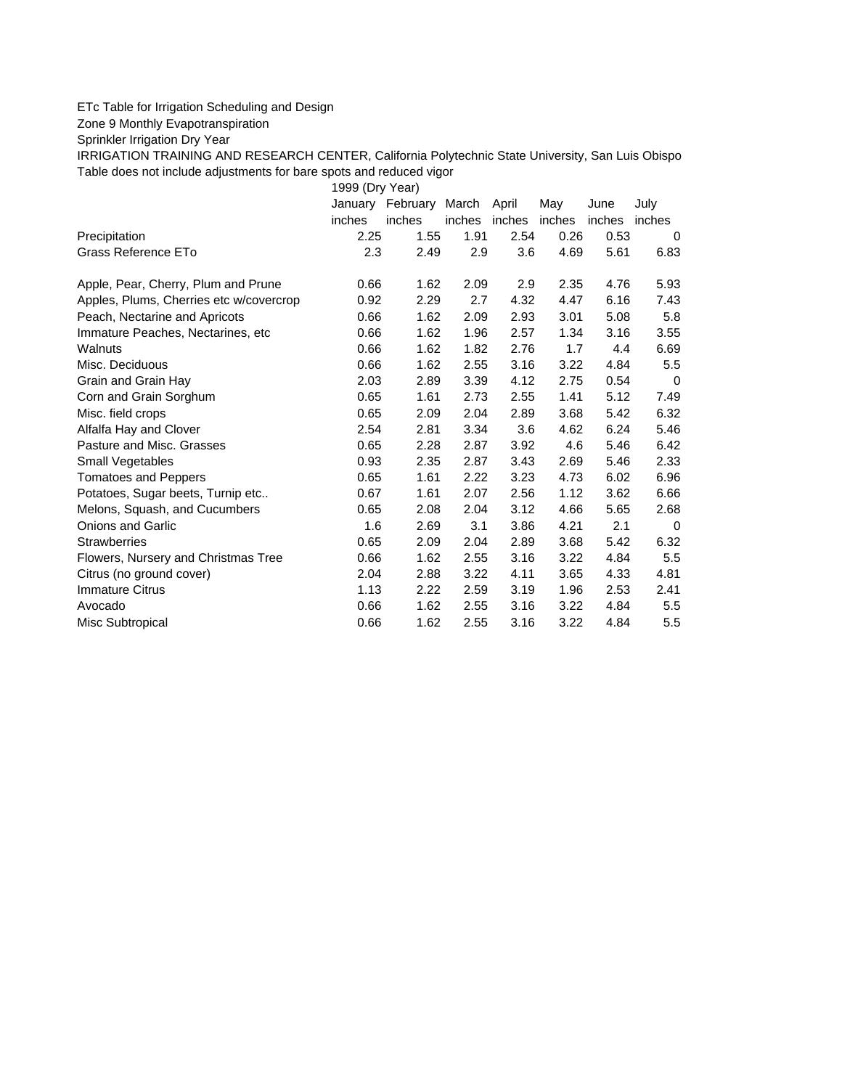## ETc Table for Irrigation Scheduling and Design

Zone 9 Monthly Evapotranspiration

Sprinkler Irrigation Dry Year

IRRIGATION TRAINING AND RESEARCH CENTER, California Polytechnic State University, San Luis Obispo Table does not include adjustments for bare spots and reduced vigor

1999 (Dry Year)

|                                         |        | January February March April |        |        | May    | June   | July   |
|-----------------------------------------|--------|------------------------------|--------|--------|--------|--------|--------|
|                                         | inches | inches                       | inches | inches | inches | inches | inches |
| Precipitation                           | 2.25   | 1.55                         | 1.91   | 2.54   | 0.26   | 0.53   | 0      |
| Grass Reference ETo                     | 2.3    | 2.49                         | 2.9    | 3.6    | 4.69   | 5.61   | 6.83   |
| Apple, Pear, Cherry, Plum and Prune     | 0.66   | 1.62                         | 2.09   | 2.9    | 2.35   | 4.76   | 5.93   |
| Apples, Plums, Cherries etc w/covercrop | 0.92   | 2.29                         | 2.7    | 4.32   | 4.47   | 6.16   | 7.43   |
| Peach, Nectarine and Apricots           | 0.66   | 1.62                         | 2.09   | 2.93   | 3.01   | 5.08   | 5.8    |
| Immature Peaches, Nectarines, etc.      | 0.66   | 1.62                         | 1.96   | 2.57   | 1.34   | 3.16   | 3.55   |
| Walnuts                                 | 0.66   | 1.62                         | 1.82   | 2.76   | 1.7    | 4.4    | 6.69   |
| Misc. Deciduous                         | 0.66   | 1.62                         | 2.55   | 3.16   | 3.22   | 4.84   | 5.5    |
| Grain and Grain Hay                     | 2.03   | 2.89                         | 3.39   | 4.12   | 2.75   | 0.54   | 0      |
| Corn and Grain Sorghum                  | 0.65   | 1.61                         | 2.73   | 2.55   | 1.41   | 5.12   | 7.49   |
| Misc. field crops                       | 0.65   | 2.09                         | 2.04   | 2.89   | 3.68   | 5.42   | 6.32   |
| Alfalfa Hay and Clover                  | 2.54   | 2.81                         | 3.34   | 3.6    | 4.62   | 6.24   | 5.46   |
| Pasture and Misc. Grasses               | 0.65   | 2.28                         | 2.87   | 3.92   | 4.6    | 5.46   | 6.42   |
| Small Vegetables                        | 0.93   | 2.35                         | 2.87   | 3.43   | 2.69   | 5.46   | 2.33   |
| <b>Tomatoes and Peppers</b>             | 0.65   | 1.61                         | 2.22   | 3.23   | 4.73   | 6.02   | 6.96   |
| Potatoes, Sugar beets, Turnip etc       | 0.67   | 1.61                         | 2.07   | 2.56   | 1.12   | 3.62   | 6.66   |
| Melons, Squash, and Cucumbers           | 0.65   | 2.08                         | 2.04   | 3.12   | 4.66   | 5.65   | 2.68   |
| <b>Onions and Garlic</b>                | 1.6    | 2.69                         | 3.1    | 3.86   | 4.21   | 2.1    | 0      |
| <b>Strawberries</b>                     | 0.65   | 2.09                         | 2.04   | 2.89   | 3.68   | 5.42   | 6.32   |
| Flowers, Nursery and Christmas Tree     | 0.66   | 1.62                         | 2.55   | 3.16   | 3.22   | 4.84   | 5.5    |
| Citrus (no ground cover)                | 2.04   | 2.88                         | 3.22   | 4.11   | 3.65   | 4.33   | 4.81   |
| <b>Immature Citrus</b>                  | 1.13   | 2.22                         | 2.59   | 3.19   | 1.96   | 2.53   | 2.41   |
| Avocado                                 | 0.66   | 1.62                         | 2.55   | 3.16   | 3.22   | 4.84   | 5.5    |
| Misc Subtropical                        | 0.66   | 1.62                         | 2.55   | 3.16   | 3.22   | 4.84   | 5.5    |